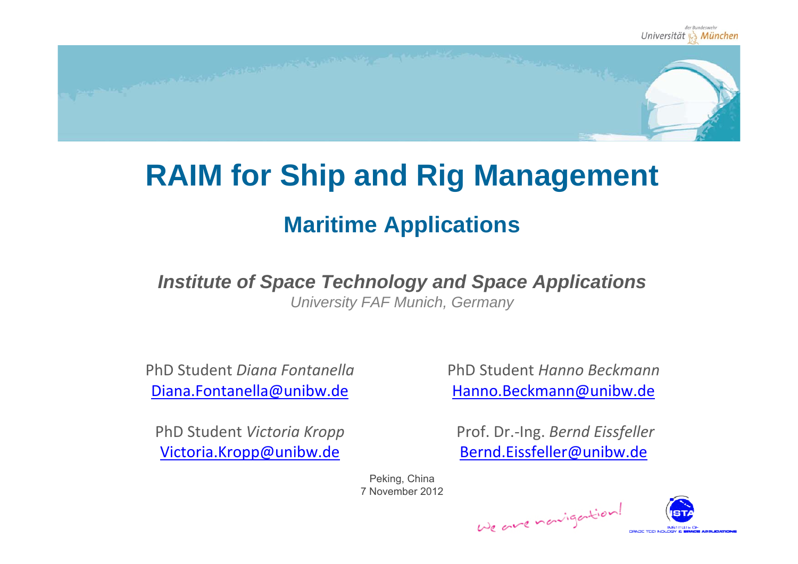

### **RAIM for Ship and Rig Management**

### **Maritime Applications**

### *Institute of Space Technology and Space Applications*

*University FAF Munich, Germany*

PhD Student *Diana Fontanella* Diana.Fontanella@unibw.de

PhD Student *Victoria Kropp* Victoria.Kropp@unibw.de

PhD Student *Hanno Beckmann* Hanno.Beckmann@unibw.de

Prof. Dr.‐Ing. *Bernd Eissfeller* Bernd.Eissfeller@unibw.de

Peking, China 7 November 2012

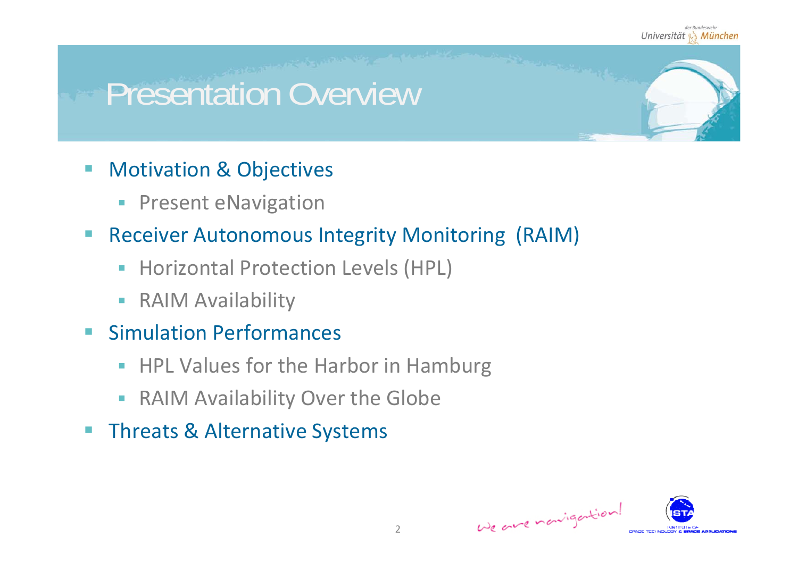## Presentation Overview

- **Notivation & Objectives** 
	- $\mathcal{L}_{\mathcal{A}}$ Present eNavigation
- $\mathbb{R}^n$  Receiver Autonomous Integrity Monitoring (RAIM)
	- **Horizontal Protection Levels (HPL)**
	- $\mathcal{L}_{\mathcal{A}}$ **- RAIM Availability**
- $\blacksquare$ **Simulation Performances** 
	- **HPL Values for the Harbor in Hamburg**
	- $\mathcal{L}_{\mathcal{A}}$ **- RAIM Availability Over the Globe**
- **Threats & Alternative Systems**

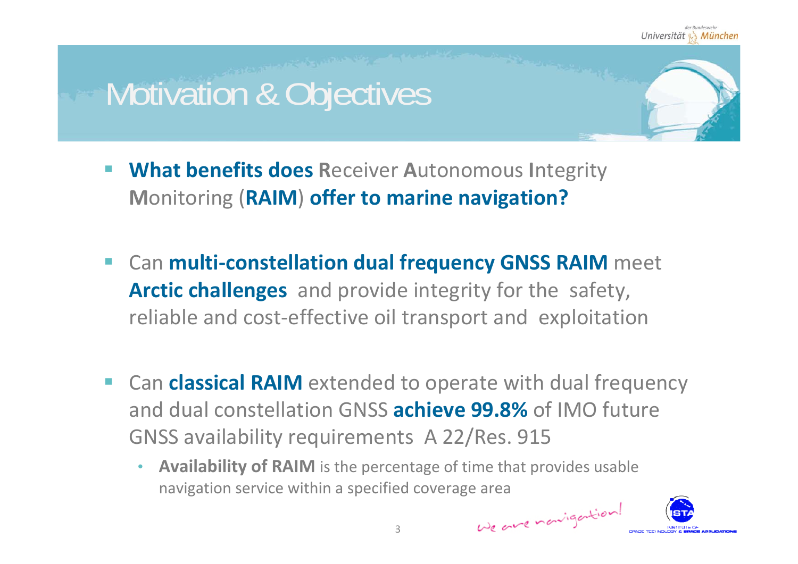## Motivation & Objectives

- **What benefits does R**eceiver **A**utonomous **I**ntegrity **M**onitoring (**RAIM**) **offer to marine navigation?**
- Can **multi‐constellation dual frequency GNSS RAIM** meet **Arctic challenges** and provide integrity for the safety, reliable and cost‐effective oil transport and exploitation
- Can **classical RAIM** extended to operate with dual frequency and dual constellation GNSS **achieve 99.8%** of IMO future GNSS availability requirements A 22/Res. 915
	- • **Availability of RAIM** is the percentage of time that provides usable navigation service within <sup>a</sup> specified coverage area

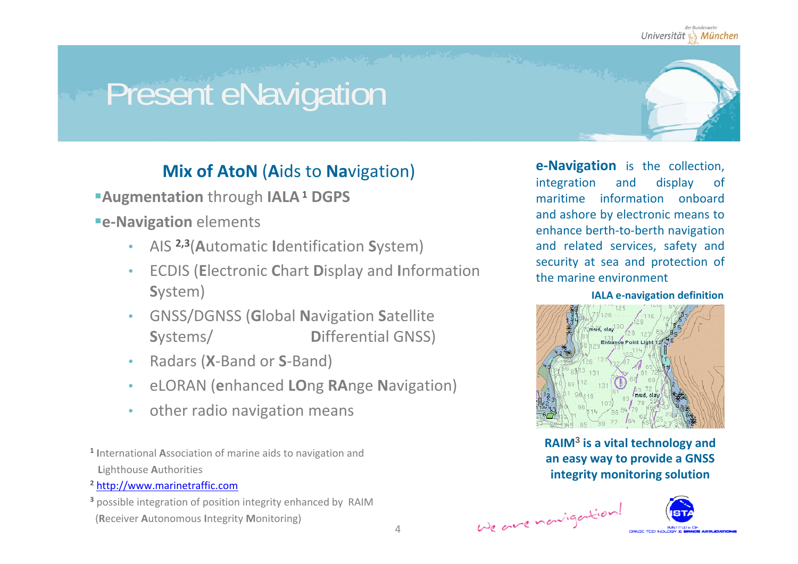# Present eNavigation

### **Mix of AtoN** (**A**ids to **Na**vigation)

- **Augmentation** through **IALA<sup>1</sup> DGPS**
- **e‐Navigation** elements
	- •AIS **2,3**(**A**utomatic **I**dentification **S**ystem)
	- • ECDIS (**E**lectronic **C**hart **D**isplay and **I**nformation **S**ystem)
	- • GNSS/DGNSS (**G**lobal **N**avigation **S**atellite **S**ystems/ **D**ifferential GNSS)
	- •Radars (**X**‐Band or **S**‐Band)
	- •eLORAN (**e**nhanced **LO**ng **RA**nge **N**avigation)
	- •other radio navigation means
- **1 I**nternational **A**ssociation of marine aids to navigation and **L**ighthouse **A**uthorities
- **2** http://www.marinetraffic.com
- **3** possible integration of position integrity enhanced by RAIM (**R**eceiver **A**utonomous **I**ntegrity **M**onitoring)

**<sup>e</sup>‐Navigation** is the collection, integration and display of maritime information onboard and ashore by electronic means to enhance berth‐to‐berth navigation and related services, safety and security at sea and protection of the marine environment

**IALA <sup>e</sup>‐navigation definition**



**RAIM<sup>3</sup> is a vital technology and an easy way to provide <sup>a</sup> GNSS integrity monitoring solution**

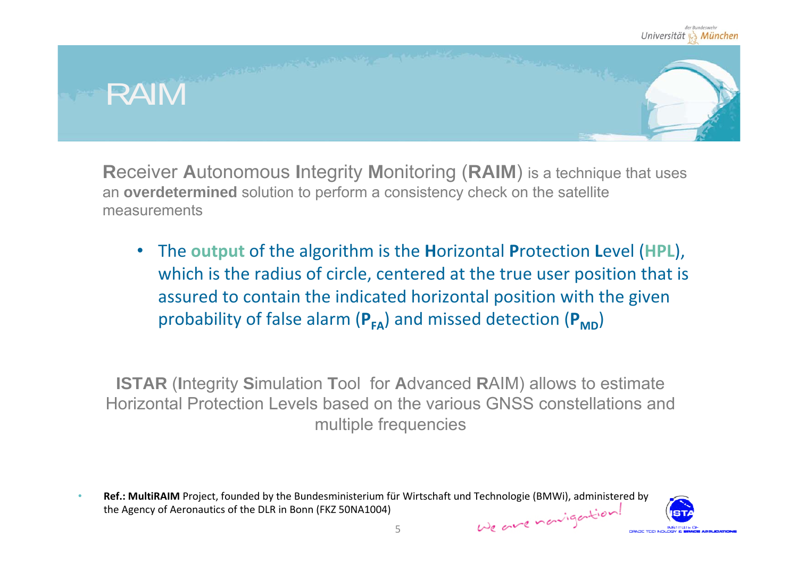

**R**eceiver **A**utonomous **I**ntegrity **M**onitoring (**RAIM**) is a technique that uses an **overdetermined** solution to perform a consistency check on the satellite measurements

• The **output** of the algorithm is the **H**orizontal **P**rotection **L**evel (**HPL**), which is the radius of circle, centered at the true user position that is assured to contain the indicated horizontal position with the given probability of false alarm ( $P_{FA}$ ) and missed detection ( $P_{MD}$ )

**ISTAR** (**I**ntegrity **S**imulation **T**ool for **A**dvanced **R**AIM) allows to estimate Horizontal Protection Levels based on the various GNSS constellations and multiple frequencies

**Ref.: MultiRAIM** Project, founded by the Bundesministerium für Wirtschaft und Technologie (BMWi), administered by •We are nowigation! the Agency of Aeronautics of the DLR in Bonn (FKZ 50NA1004)

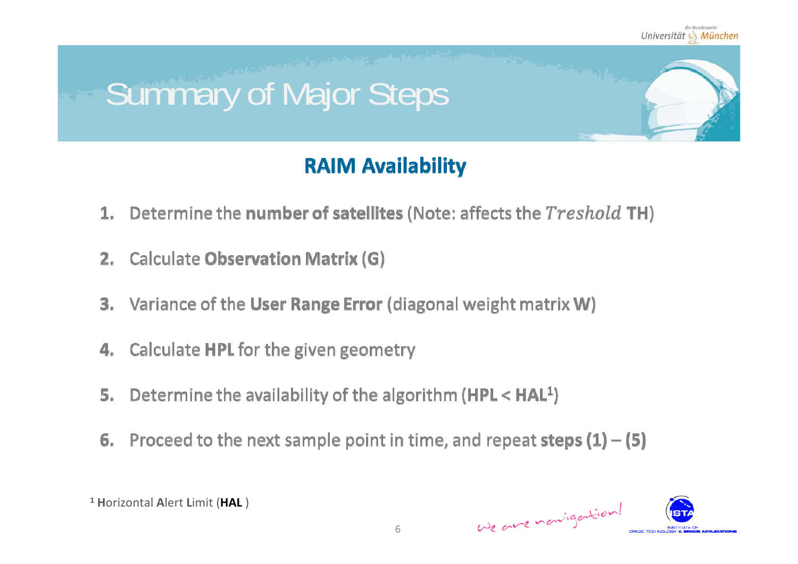

### **RAIM Availability**

- 1. Determine the number of satellites (Note: affects the Treshold TH)
- 2. Calculate Observation Matrix (G)
- 3. Variance of the User Range Error (diagonal weight matrix W)
- 4. Calculate HPL for the given geometry
- Determine the availability of the algorithm (HPL < HAL<sup>1</sup>) 5.
- 6. Proceed to the next sample point in time, and repeat steps  $(1) (5)$



**1 H**orizontal **A**lert **L**imit (**HAL** )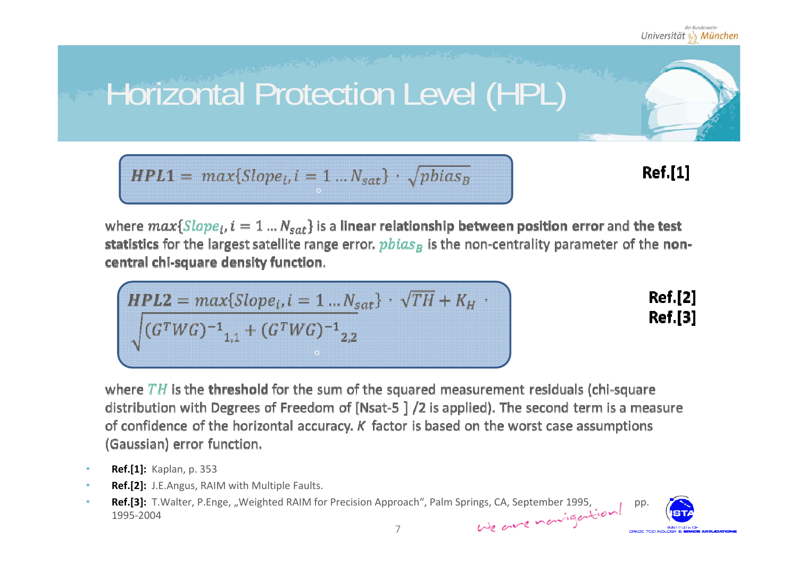#### der Rundesweh Universität & München

# Horizontal Protection Level (HPL)

$$
HPL1 = max{Slope_i, i = 1 ... N_{sat}} \cdot \sqrt{pbias_B}
$$

**Ref.[1]** 

where  $max\{Slope_i, i = 1 ... N_{sat}\}$  is a linear relationship between position error and the test statistics for the largest satellite range error,  $pbias<sub>B</sub>$  is the non-centrality parameter of the noncentral chi-square density function.

$$
HPL2 = max{Slopei, i = 1 ... Nsat} \cdot \sqrt{TH} + K_H \cdot
$$

$$
\sqrt{(GTWG)-11,1 + (GTWG)-12,2}
$$

**Ref.[2] Ref.[3]** 

where  $TH$  is the threshold for the sum of the squared measurement residuals (chi-square distribution with Degrees of Freedom of [Nsat-5 ] /2 is applied). The second term is a measure of confidence of the horizontal accuracy.  $K$  factor is based on the worst case assumptions (Gaussian) error function.

- •**Ref.[1]:** Kaplan, p. 353
- •**Ref.[2]:** J.E.Angus, RAIM with Multiple Faults.
- •**Ref.[3]:** T.Walter, P.Enge, "Weighted RAIM for Precision Approach", Palm Springs, CA, September 1995, pp.<br>1995-2004<br>7 1995‐2004

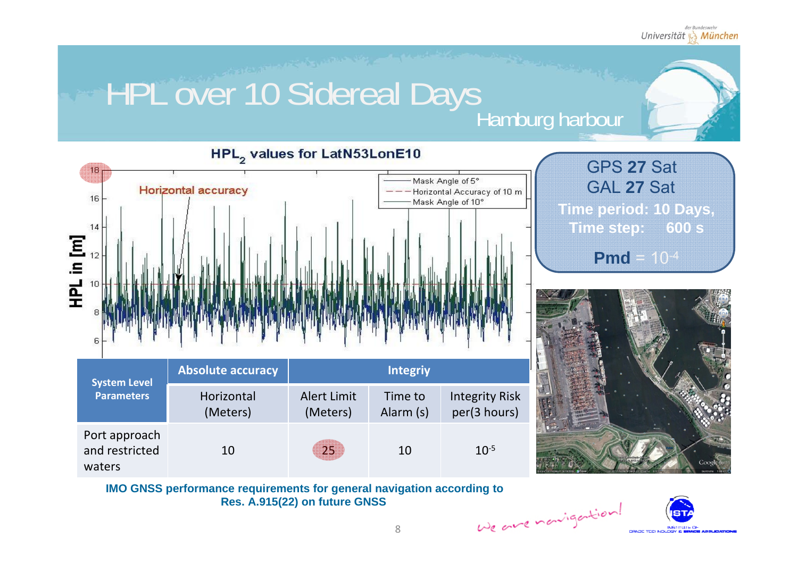# HPL over 10 Sidereal Days<br>Hamburg harbour



![](_page_7_Picture_4.jpeg)

![](_page_7_Picture_5.jpeg)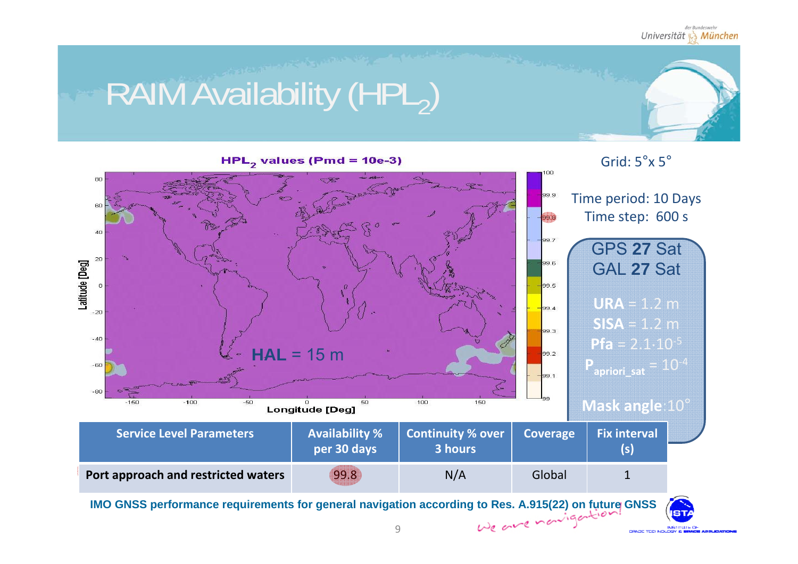INB TITLE C

# RAIM Availability (HPL2)

![](_page_8_Figure_2.jpeg)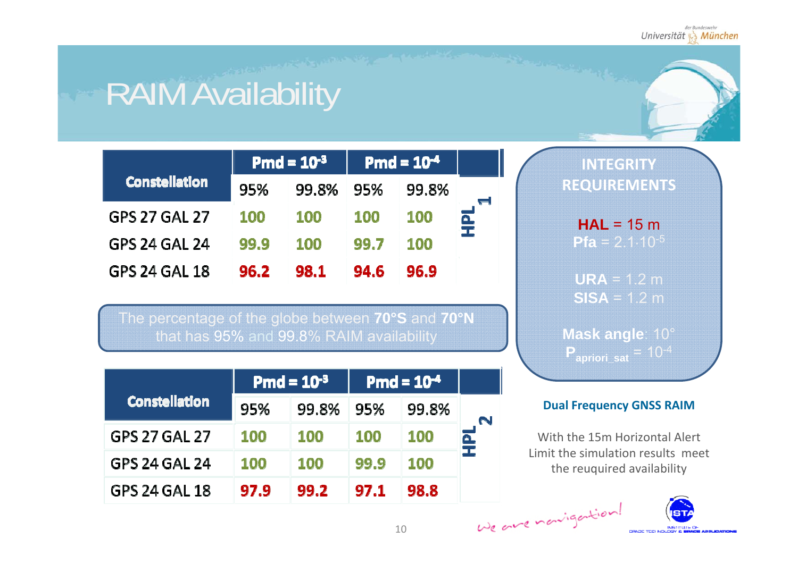# RAIM Availability

|                      | Pmd = $10^{-3}$ |            | $Pmd = 10^{-4}$ |            |     |
|----------------------|-----------------|------------|-----------------|------------|-----|
| <b>Constellation</b> | 95%             | 99.8%      | 95%             | 99.8%      |     |
| <b>GPS 27 GAL 27</b> | <b>100</b>      | <b>100</b> | <b>100</b>      | <b>100</b> | HPL |
| <b>GPS 24 GAL 24</b> | 99.9            | <b>100</b> | 99.7            | <b>100</b> |     |
| <b>GPS 24 GAL 18</b> | 96.2            | 98.1       | 94.6            | 96.9       |     |

The percentage of the globe between **70°S** and **70°N** that has 95% and 99.8% RAIM availability

|                      | <b>Pmd = <math>10^{-3}</math></b> |            | $Pmd = 10^{-4}$ |            |   |
|----------------------|-----------------------------------|------------|-----------------|------------|---|
| <b>Constellation</b> | 95%                               | 99.8%      | -95%            | 99.8%      | N |
| GPS 27 GAL 27        | <b>100</b>                        | 100        | <b>100</b>      | 100        | 로 |
| <b>GPS 24 GAL 24</b> | <b>100</b>                        | <b>100</b> | 99.9            | <b>100</b> |   |
| GPS 24 GAL 18        | 97.9                              | 99.2       | 97.1            | 98.8       |   |

**INTEGRITY REQUIREMENTS**

> **HAL** = 15 m**Pfa** = 2.1·10-<sup>5</sup>

**URA** = 1.2 m **SISA** = 1.2 m

**Mask angle**: 10° **Papriori\_sat** = 10-<sup>4</sup>

#### **Dual Frequency GNSS RAIM**

With the 15m Horizontal Alert Limit the simulation results meet the reuquired availability

![](_page_9_Picture_11.jpeg)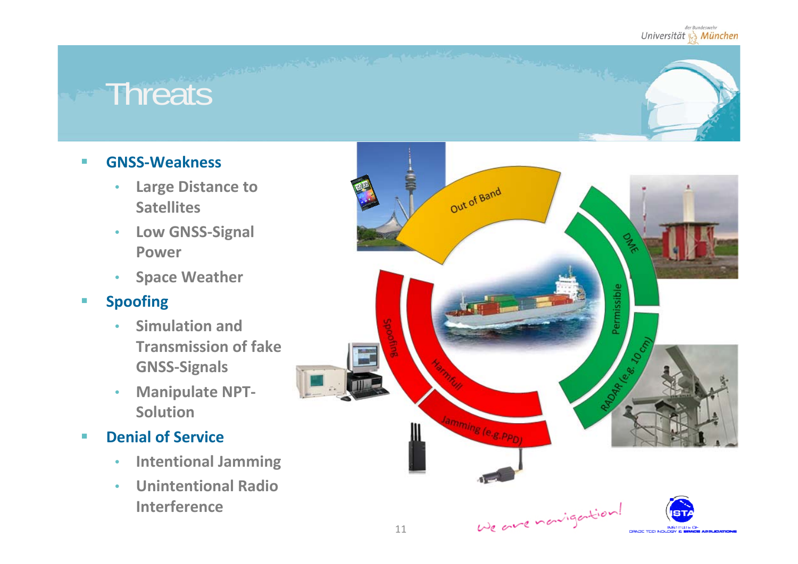### **Threats**

#### $\mathbf{u}$ **GNSS‐Weakness**

- • **Large Distance to Satellites**
- • **Low GNSS‐Signal Power**
- •**Space Weather**

#### $\mathcal{L}_{\mathcal{A}}$ **Spoofing**

- • **Simulation and Transmission of fake GNSS‐Signals**
- $\bullet$  **Manipulate NPT‐ Solution**
- $\mathcal{L}_{\mathcal{A}}$  **Denial of Service**
	- $\bullet$ **Intentional Jamming**
	- • **Unintentional RadioInterference**

![](_page_10_Picture_12.jpeg)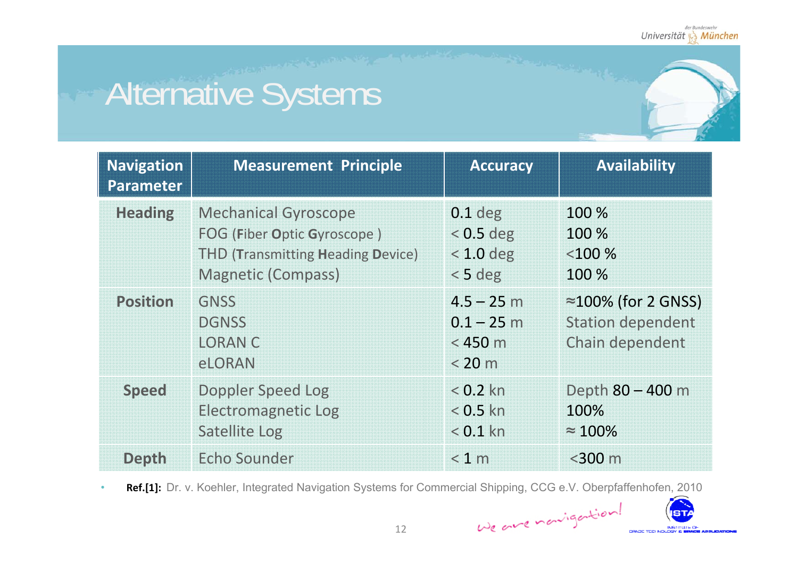ST/ INSTITUTE OF

**CONCRETE STORES** 

# Alternative Systems

| <b>Navigation</b><br>Parameter | <b>Measurement Principle</b>                                                                                                        | <b>Accuracy</b>                                      | <b>Availability</b>                                                        |
|--------------------------------|-------------------------------------------------------------------------------------------------------------------------------------|------------------------------------------------------|----------------------------------------------------------------------------|
| <b>Heading</b>                 | <b>Mechanical Gyroscope</b><br>FOG (Fiber Optic Gyroscope)<br><b>THD (Transmitting Heading Device)</b><br><b>Magnetic (Compass)</b> | $0.1$ deg<br>$< 0.5$ deg<br>$< 1.0$ deg<br>$< 5$ deg | 100 %<br>100 %<br>< 100 %<br>100 %                                         |
| <b>Position</b>                | <b>GNSS</b><br><b>DGNSS</b><br><b>LORAN C</b><br><b>eLORAN</b>                                                                      | $4.5 - 25$ m<br>$0.1 - 25$ m<br>$<$ 450 m<br>< 20 m  | $\approx$ 100% (for 2 GNSS)<br><b>Station dependent</b><br>Chain dependent |
| <b>Speed</b>                   | Doppler Speed Log<br><b>Electromagnetic Log</b><br><b>Satellite Log</b>                                                             | $< 0.2$ kn<br>$< 0.5$ kn<br>$< 0.1$ kn               | Depth 80 - 400 m<br>100%<br>$\approx 100\%$                                |
| <b>Depth</b>                   | <b>Echo Sounder</b>                                                                                                                 | < 1 m                                                | $<$ 300 m                                                                  |

•**Ref.[1]:** Dr. v. Koehler, Integrated Navigation Systems for Commercial Shipping, CCG e.V. Oberpfaffenhofen, 2010

We are nonigation!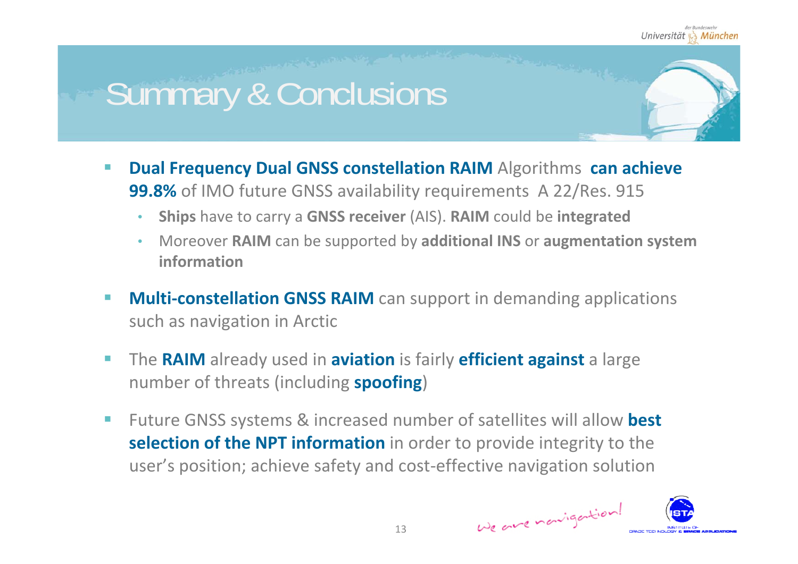## Summary & Conclusions

- $\mathcal{C}^{\mathcal{A}}$  **Dual Frequency Dual GNSS constellation RAIM** Algorithms **can achieve 99.8%** of IMO future GNSS availability requirements A 22/Res. 915
	- •**Ships** have to carry <sup>a</sup> **GNSS receiver** (AIS). **RAIM** could be **integrated**
	- • Moreover **RAIM** can be supported by **additional INS** or **augmentation system information**
- П ■ Multi-constellation GNSS RAIM can support in demanding applications such as navigation in Arctic
- $\mathcal{L}_{\mathcal{A}}$ **F** The **RAIM** already used in **aviation** is fairly **efficient against** a large number of threats (including **spoofing**)
- $\mathcal{L}_{\mathcal{A}}$ ■ Future GNSS systems & increased number of satellites will allow best **selection of the NPT information** in order to provide integrity to the user's position; achieve safety and cost‐effective navigation solution

![](_page_12_Picture_8.jpeg)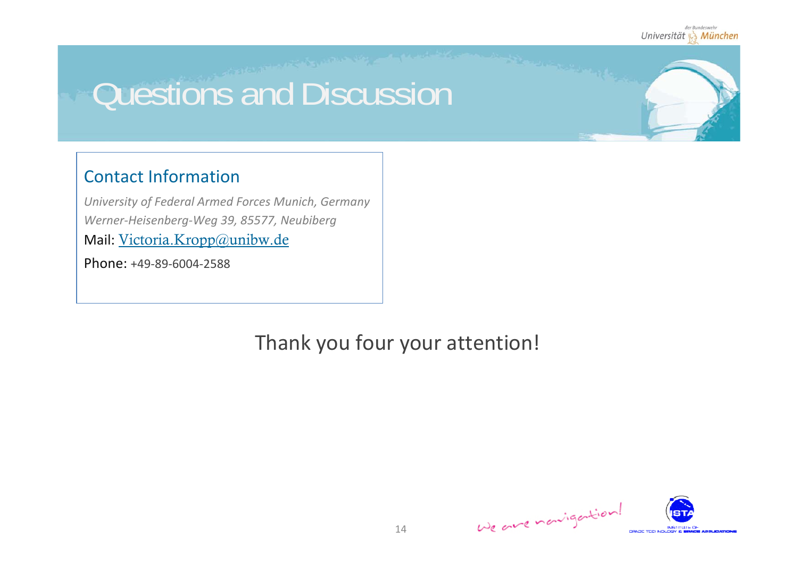## Questions and Discussion

### Contact Information

*University of Federal Armed Forces Munich, Germany Werner‐Heisenberg‐Weg 39, 85577, Neubiberg* Mail: <u>Victoria.Kropp@unibw.de</u>

Phone: +49‐89‐6004‐2588

Thank you four your attention!

![](_page_13_Picture_6.jpeg)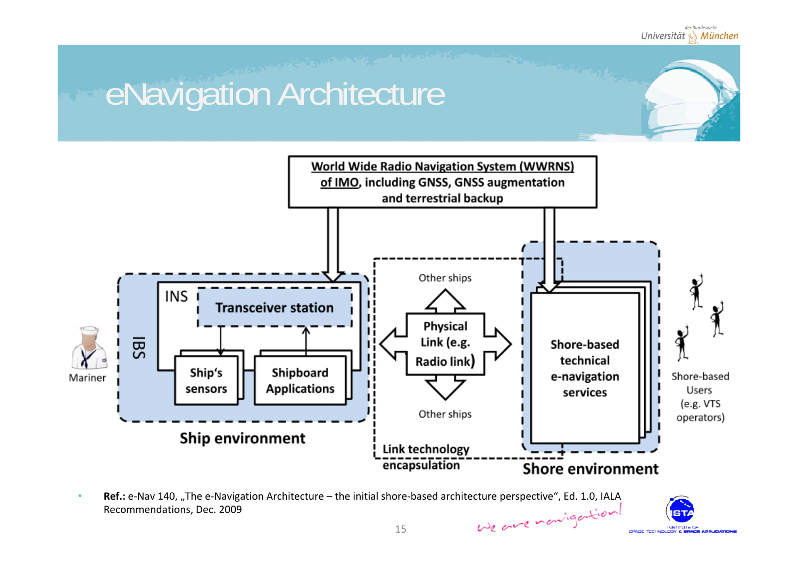# eNavigation Architecture

![](_page_14_Figure_2.jpeg)

•**Ref.:** e-Nav 140, "The e-Navigation Architecture – the initial shore-based architecture perspective", Ed. 1.0, IALA We are nowigation! Recommendations, Dec. 2009

![](_page_14_Picture_4.jpeg)